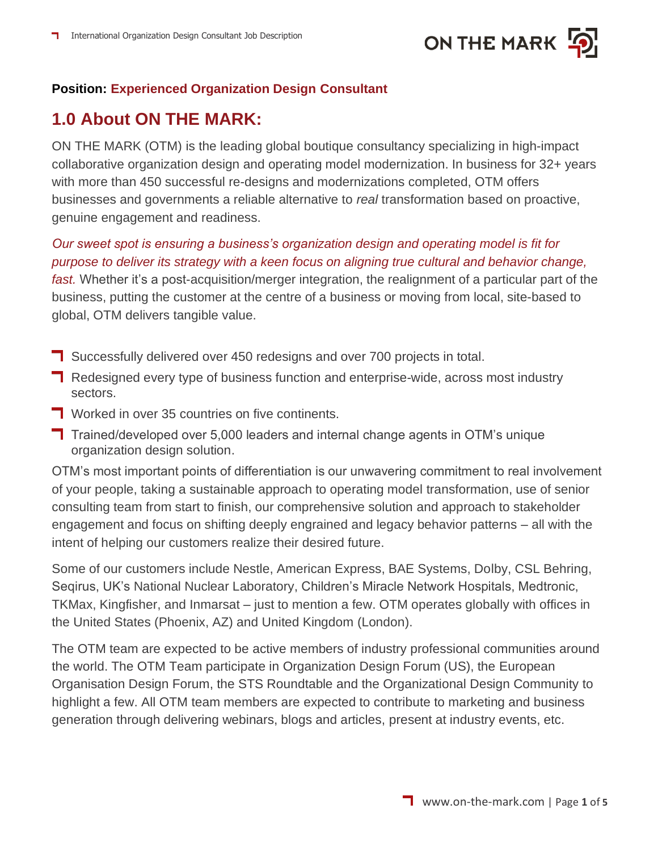

### **Position: Experienced Organization Design Consultant**

# **1.0 About ON THE MARK:**

ON THE MARK (OTM) is the leading global boutique consultancy specializing in high-impact collaborative organization design and operating model modernization. In business for 32+ years with more than 450 successful re-designs and modernizations completed, OTM offers businesses and governments a reliable alternative to *real* transformation based on proactive, genuine engagement and readiness.

### *Our sweet spot is ensuring a business's organization design and operating model is fit for purpose to deliver its strategy with a keen focus on aligning true cultural and behavior change,*

*fast.* Whether it's a post-acquisition/merger integration, the realignment of a particular part of the business, putting the customer at the centre of a business or moving from local, site-based to global, OTM delivers tangible value.

- **T** Successfully delivered over 450 redesigns and over 700 projects in total.
- **Redesigned every type of business function and enterprise-wide, across most industry** sectors.
- **T** Worked in over 35 countries on five continents.
- T Trained/developed over 5,000 leaders and internal change agents in OTM's unique organization design solution.

OTM's most important points of differentiation is our unwavering commitment to real involvement of your people, taking a sustainable approach to operating model transformation, use of senior consulting team from start to finish, our comprehensive solution and approach to stakeholder engagement and focus on shifting deeply engrained and legacy behavior patterns – all with the intent of helping our customers realize their desired future.

Some of our customers include Nestle, American Express, BAE Systems, Dolby, CSL Behring, Seqirus, UK's National Nuclear Laboratory, Children's Miracle Network Hospitals, Medtronic, TKMax, Kingfisher, and Inmarsat – just to mention a few. OTM operates globally with offices in the United States (Phoenix, AZ) and United Kingdom (London).

The OTM team are expected to be active members of industry professional communities around the world. The OTM Team participate in Organization Design Forum (US), the European Organisation Design Forum, the STS Roundtable and the Organizational Design Community to highlight a few. All OTM team members are expected to contribute to marketing and business generation through delivering webinars, blogs and articles, present at industry events, etc.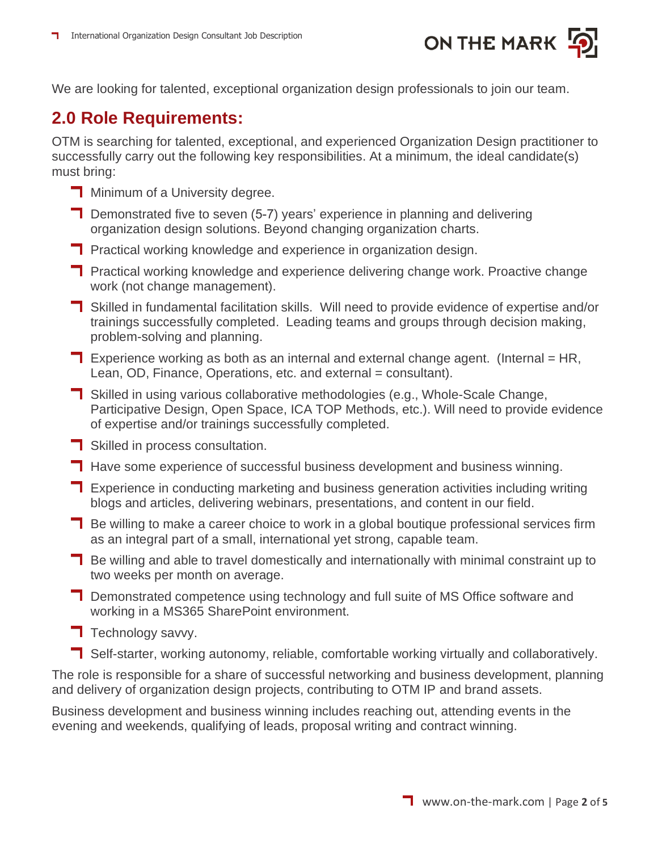

We are looking for talented, exceptional organization design professionals to join our team.

# **2.0 Role Requirements:**

OTM is searching for talented, exceptional, and experienced Organization Design practitioner to successfully carry out the following key responsibilities. At a minimum, the ideal candidate(s) must bring:

- **Ninimum of a University degree.**
- **T** Demonstrated five to seven (5-7) years' experience in planning and delivering organization design solutions. Beyond changing organization charts.
- **T** Practical working knowledge and experience in organization design.
- **T** Practical working knowledge and experience delivering change work. Proactive change work (not change management).
- Skilled in fundamental facilitation skills. Will need to provide evidence of expertise and/or trainings successfully completed. Leading teams and groups through decision making, problem-solving and planning.
- **T** Experience working as both as an internal and external change agent. (Internal = HR, Lean, OD, Finance, Operations, etc. and external = consultant).
- Skilled in using various collaborative methodologies (e.g., Whole-Scale Change, Participative Design, Open Space, ICA TOP Methods, etc.). Will need to provide evidence of expertise and/or trainings successfully completed.
- **T** Skilled in process consultation.
- **Have some experience of successful business development and business winning.**
- **T** Experience in conducting marketing and business generation activities including writing blogs and articles, delivering webinars, presentations, and content in our field.
- **Be willing to make a career choice to work in a global boutique professional services firm** as an integral part of a small, international yet strong, capable team.
- **Be willing and able to travel domestically and internationally with minimal constraint up to** two weeks per month on average.
- **T** Demonstrated competence using technology and full suite of MS Office software and working in a MS365 SharePoint environment.
- $\blacksquare$  Technology savvy.
- Self-starter, working autonomy, reliable, comfortable working virtually and collaboratively.

The role is responsible for a share of successful networking and business development, planning and delivery of organization design projects, contributing to OTM IP and brand assets.

Business development and business winning includes reaching out, attending events in the evening and weekends, qualifying of leads, proposal writing and contract winning.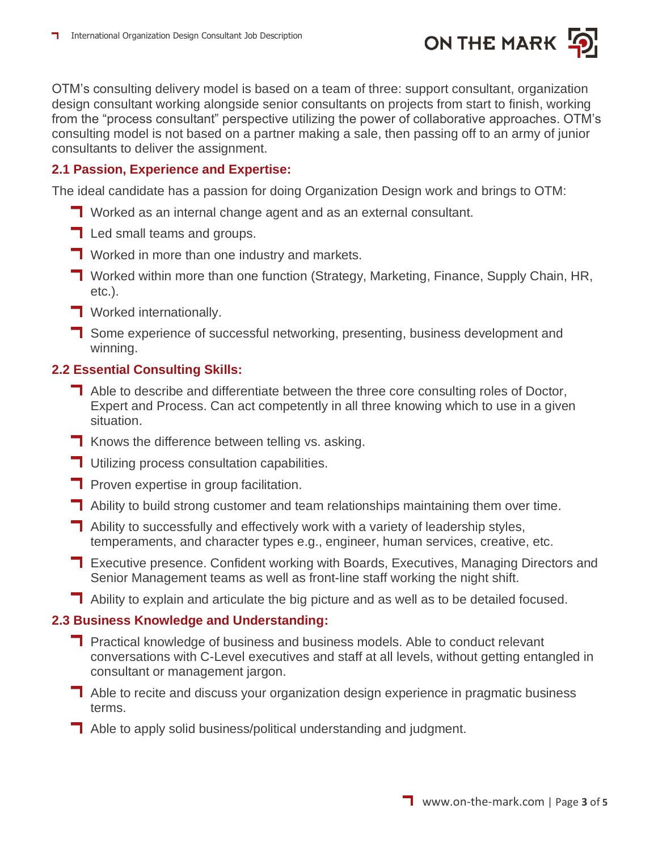

OTM's consulting delivery model is based on a team of three: support consultant, organization design consultant working alongside senior consultants on projects from start to finish, working from the "process consultant" perspective utilizing the power of collaborative approaches. OTM's consulting model is not based on a partner making a sale, then passing off to an army of junior consultants to deliver the assignment.

#### **2.1 Passion, Experience and Expertise:**

The ideal candidate has a passion for doing Organization Design work and brings to OTM:

- **T** Worked as an internal change agent and as an external consultant.
- **T** Led small teams and groups.
- **T** Worked in more than one industry and markets.
- **T** Worked within more than one function (Strategy, Marketing, Finance, Supply Chain, HR, etc.).
- **T** Worked internationally.
- Some experience of successful networking, presenting, business development and winning.

#### **2.2 Essential Consulting Skills:**

- **T** Able to describe and differentiate between the three core consulting roles of Doctor, Expert and Process. Can act competently in all three knowing which to use in a given situation.
- $\blacksquare$  Knows the difference between telling vs. asking.
- **T** Utilizing process consultation capabilities.
- **Proven expertise in group facilitation.**
- Ability to build strong customer and team relationships maintaining them over time.
- **T** Ability to successfully and effectively work with a variety of leadership styles, temperaments, and character types e.g., engineer, human services, creative, etc.
- Executive presence. Confident working with Boards, Executives, Managing Directors and Senior Management teams as well as front-line staff working the night shift.
- Ability to explain and articulate the big picture and as well as to be detailed focused.

#### **2.3 Business Knowledge and Understanding:**

- **T** Practical knowledge of business and business models. Able to conduct relevant conversations with C-Level executives and staff at all levels, without getting entangled in consultant or management jargon.
- **T** Able to recite and discuss your organization design experience in pragmatic business terms.
- **T** Able to apply solid business/political understanding and judgment.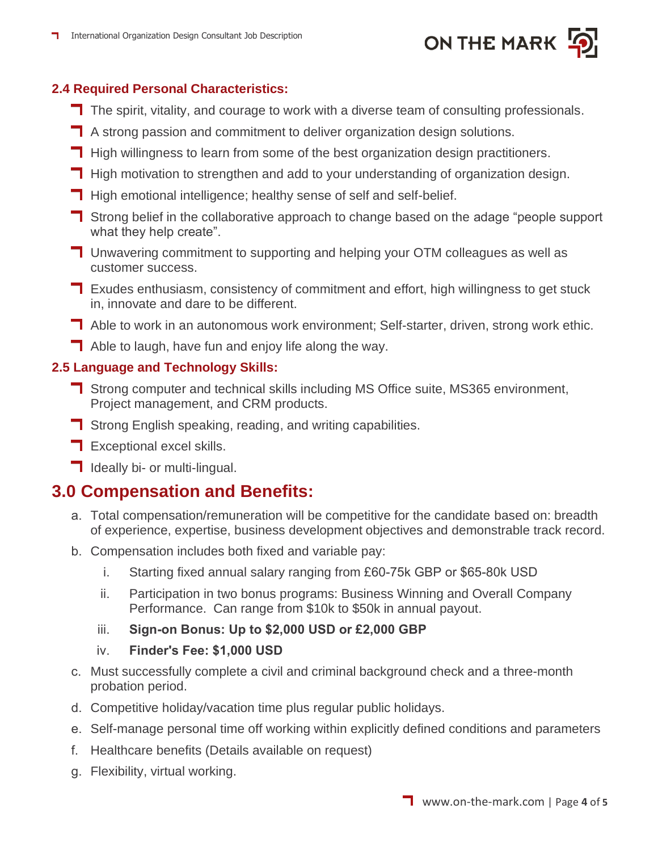

#### **2.4 Required Personal Characteristics:**

- The spirit, vitality, and courage to work with a diverse team of consulting professionals.
- A strong passion and commitment to deliver organization design solutions.
- **High willingness to learn from some of the best organization design practitioners.**
- **High motivation to strengthen and add to your understanding of organization design.**
- **High emotional intelligence; healthy sense of self and self-belief.**
- **T** Strong belief in the collaborative approach to change based on the adage "people support what they help create".
- **T** Unwavering commitment to supporting and helping your OTM colleagues as well as customer success.
- **T** Exudes enthusiasm, consistency of commitment and effort, high willingness to get stuck in, innovate and dare to be different.
- Able to work in an autonomous work environment; Self-starter, driven, strong work ethic.
- $\Box$  Able to laugh, have fun and enjoy life along the way.

#### **2.5 Language and Technology Skills:**

- Strong computer and technical skills including MS Office suite, MS365 environment, Project management, and CRM products.
- **T** Strong English speaking, reading, and writing capabilities.
- $\blacksquare$  Exceptional excel skills.
- **I** Ideally bi- or multi-lingual.

## **3.0 Compensation and Benefits:**

- a. Total compensation/remuneration will be competitive for the candidate based on: breadth of experience, expertise, business development objectives and demonstrable track record.
- b. Compensation includes both fixed and variable pay:
	- i. Starting fixed annual salary ranging from £60-75k GBP or \$65-80k USD
	- ii. Participation in two bonus programs: Business Winning and Overall Company Performance. Can range from \$10k to \$50k in annual payout.
	- iii. **Sign-on Bonus: Up to \$2,000 USD or £2,000 GBP**
	- iv. **Finder's Fee: \$1,000 USD**
- c. Must successfully complete a civil and criminal background check and a three-month probation period.
- d. Competitive holiday/vacation time plus regular public holidays.
- e. Self-manage personal time off working within explicitly defined conditions and parameters
- f. Healthcare benefits (Details available on request)
- g. Flexibility, virtual working.